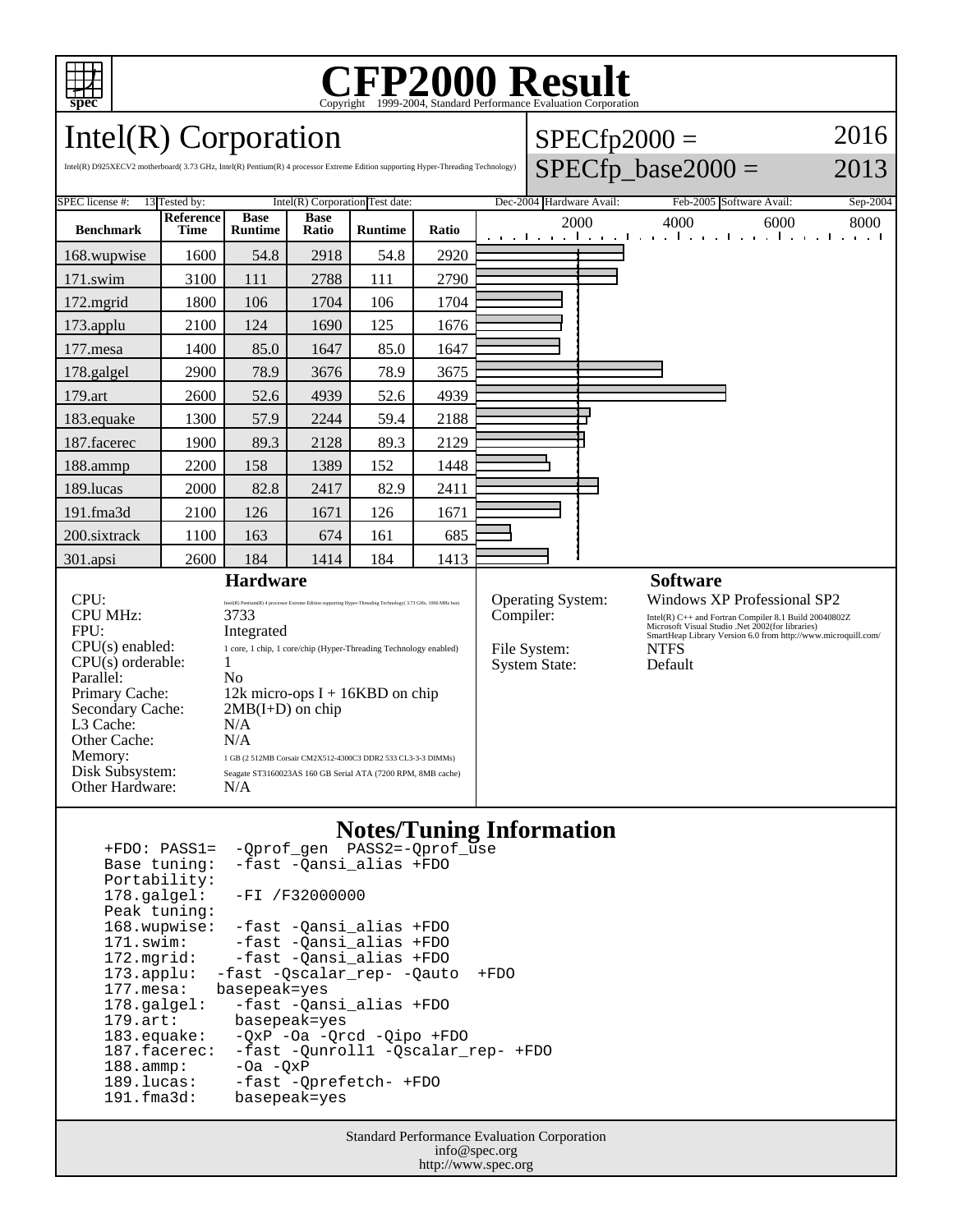

# Copyright ©1999-2004, Standard Performance Evaluation Corporation

Intel(R) Corporation

Intel(R) D925XECV2 motherboard( 3.73 GHz, Intel(R) Pentium(R) 4 processor Extreme Edition supporting Hyper-Threading Technology)

| $\text{SPECfp2000} =$              |  |
|------------------------------------|--|
| $RDECf_n$ $ho_0$ $\Omega$ $\Omega$ |  |

2016

#### $SPECIP_0$ ase $2000 =$

2013

| SPEC license #:                                                                                                                                                                                                                                                                                                                                                                                                                                                                                                                                                                                                                                                | 13 Tested by:<br>Intel(R) Corporation Test date: |                               |                      |                | Dec-2004 Hardware Avail:<br>Feb-2005 Software Avail:<br>Sep-2004       |                                                                                                                                                                                                                                                                  |                                                                       |
|----------------------------------------------------------------------------------------------------------------------------------------------------------------------------------------------------------------------------------------------------------------------------------------------------------------------------------------------------------------------------------------------------------------------------------------------------------------------------------------------------------------------------------------------------------------------------------------------------------------------------------------------------------------|--------------------------------------------------|-------------------------------|----------------------|----------------|------------------------------------------------------------------------|------------------------------------------------------------------------------------------------------------------------------------------------------------------------------------------------------------------------------------------------------------------|-----------------------------------------------------------------------|
| <b>Benchmark</b>                                                                                                                                                                                                                                                                                                                                                                                                                                                                                                                                                                                                                                               | <b>Reference</b><br>Time                         | <b>Base</b><br><b>Runtime</b> | <b>Base</b><br>Ratio | <b>Runtime</b> | Ratio                                                                  | 2000                                                                                                                                                                                                                                                             | 4000<br>6000<br>8000<br>المتواجب والمتواجب والمتواطن والمتواجب والمتو |
| 168.wupwise                                                                                                                                                                                                                                                                                                                                                                                                                                                                                                                                                                                                                                                    | 1600                                             | 54.8                          | 2918                 | 54.8           | 2920                                                                   |                                                                                                                                                                                                                                                                  |                                                                       |
| 171.swim                                                                                                                                                                                                                                                                                                                                                                                                                                                                                                                                                                                                                                                       | 3100                                             | 111                           | 2788                 | 111            | 2790                                                                   |                                                                                                                                                                                                                                                                  |                                                                       |
| $172$ . mgrid                                                                                                                                                                                                                                                                                                                                                                                                                                                                                                                                                                                                                                                  | 1800                                             | 106                           | 1704                 | 106            | 1704                                                                   |                                                                                                                                                                                                                                                                  |                                                                       |
| 173.applu                                                                                                                                                                                                                                                                                                                                                                                                                                                                                                                                                                                                                                                      | 2100                                             | 124                           | 1690                 | 125            | 1676                                                                   |                                                                                                                                                                                                                                                                  |                                                                       |
| 177.mesa                                                                                                                                                                                                                                                                                                                                                                                                                                                                                                                                                                                                                                                       | 1400                                             | 85.0                          | 1647                 | 85.0           | 1647                                                                   |                                                                                                                                                                                                                                                                  |                                                                       |
| 178.galgel                                                                                                                                                                                                                                                                                                                                                                                                                                                                                                                                                                                                                                                     | 2900                                             | 78.9                          | 3676                 | 78.9           | 3675                                                                   |                                                                                                                                                                                                                                                                  |                                                                       |
| 179.art                                                                                                                                                                                                                                                                                                                                                                                                                                                                                                                                                                                                                                                        | 2600                                             | 52.6                          | 4939                 | 52.6           | 4939                                                                   |                                                                                                                                                                                                                                                                  |                                                                       |
| 183.equake                                                                                                                                                                                                                                                                                                                                                                                                                                                                                                                                                                                                                                                     | 1300                                             | 57.9                          | 2244                 | 59.4           | 2188                                                                   |                                                                                                                                                                                                                                                                  |                                                                       |
| 187.facerec                                                                                                                                                                                                                                                                                                                                                                                                                                                                                                                                                                                                                                                    | 1900                                             | 89.3                          | 2128                 | 89.3           | 2129                                                                   |                                                                                                                                                                                                                                                                  |                                                                       |
| 188.ammp                                                                                                                                                                                                                                                                                                                                                                                                                                                                                                                                                                                                                                                       | 2200                                             | 158                           | 1389                 | 152            | 1448                                                                   |                                                                                                                                                                                                                                                                  |                                                                       |
| 189.lucas                                                                                                                                                                                                                                                                                                                                                                                                                                                                                                                                                                                                                                                      | 2000                                             | 82.8                          | 2417                 | 82.9           | 2411                                                                   |                                                                                                                                                                                                                                                                  |                                                                       |
| 191.fma3d                                                                                                                                                                                                                                                                                                                                                                                                                                                                                                                                                                                                                                                      | 2100                                             | 126                           | 1671                 | 126            | 1671                                                                   |                                                                                                                                                                                                                                                                  |                                                                       |
| 200.sixtrack                                                                                                                                                                                                                                                                                                                                                                                                                                                                                                                                                                                                                                                   | 1100                                             | 163                           | 674                  | 161            | 685                                                                    |                                                                                                                                                                                                                                                                  |                                                                       |
| 301.apsi                                                                                                                                                                                                                                                                                                                                                                                                                                                                                                                                                                                                                                                       | 2600                                             | 184                           | 1414                 | 184            | 1413                                                                   |                                                                                                                                                                                                                                                                  |                                                                       |
| <b>Hardware</b>                                                                                                                                                                                                                                                                                                                                                                                                                                                                                                                                                                                                                                                |                                                  |                               |                      |                |                                                                        |                                                                                                                                                                                                                                                                  | <b>Software</b>                                                       |
| CPU:<br>Intel(R) Pentium(R) 4 processor Extreme Edition supporting Hyper-Threading Technology( 3.73 GHz, 1066 MHz bus)<br><b>CPU MHz:</b><br>3733<br>FPU:<br>Integrated<br>$CPU(s)$ enabled:<br>1 core, 1 chip, 1 core/chip (Hyper-Threading Technology enabled)<br>$CPU(s)$ orderable:<br>1<br>Parallel:<br>No<br>Primary Cache:<br>12k micro-ops $I + 16KBD$ on chip<br>Secondary Cache:<br>$2MB(I+D)$ on chip<br>L <sub>3</sub> Cache:<br>N/A<br>N/A<br>Other Cache:<br>Memory:<br>1 GB (2 512MB Corsair CM2X512-4300C3 DDR2 533 CL3-3-3 DIMMs)<br>Disk Subsystem:<br>Seagate ST3160023AS 160 GB Serial ATA (7200 RPM, 8MB cache)<br>Other Hardware:<br>N/A |                                                  |                               |                      |                | Operating System:<br>Compiler:<br>File System:<br><b>System State:</b> | <b>Windows XP Professional SP2</b><br>$\frac{Intel(R) C++ \text{ and Fortran Computer 8.1 Build 20040802Z}}{\text{Microsoft Visual Studio.Net 2002} (for libraries)}$<br>SmartHeap Library Version 6.0 from http://www.microquill.com/<br><b>NTFS</b><br>Default |                                                                       |

#### **Notes/Tuning Information**

 +FDO: PASS1= -Qprof\_gen PASS2=-Qprof\_use -fast -Qansi\_alias +FDO Portability:<br>178.galgel: -FI /F32000000 Peak tuning: 168.wupwise: -fast -Qansi\_alias +FDO 171.swim: -fast -Qansi\_alias +FDO 172.mgrid: -fast -Qansi\_alias +FDO 173.applu: -fast -Qscalar\_rep- -Qauto +FDO 177.mesa: basepeak=yes 178.galgel: -fast -Qansi\_alias +FDO 179.art: basepeak=yes<br>183.equake: -QxP -Oa -Qr 183.equake: - QxP - Oa - Qrcd - Qipo + FDO<br>187.facerec: - fast - Qunrolll - Qscalar 187.facerec: -fast -Qunroll1 -Qscalar\_rep- +FDO<br>188.ammp: -Oa -QxP  $-$ Oa  $-$ QxP 189.lucas: -fast -Qprefetch- +FDO<br>191.fma3d: basepeak=yes basepeak=yes

> Standard Performance Evaluation Corporation info@spec.org http://www.spec.org